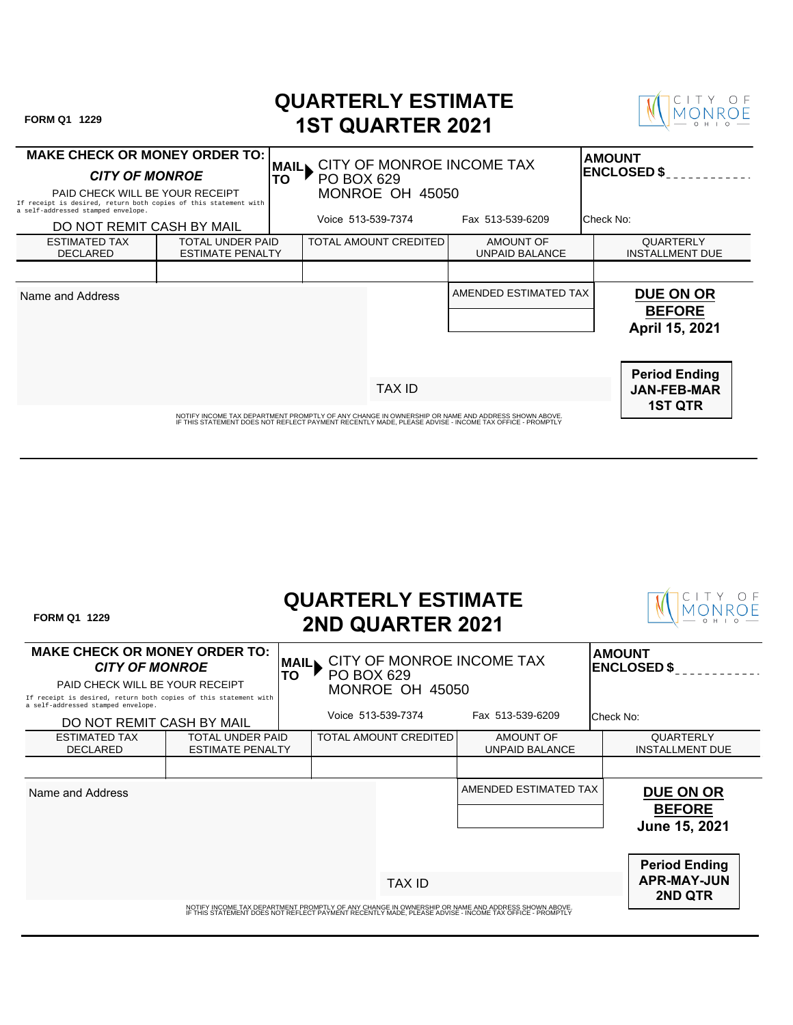| FORM Q1 1229                                                                                                                                                                                                |                                                    | <b>QUARTERLY ESTIMATE</b>                                                       | <b>1ST QUARTER 2021</b> |                                           |                                                              |  |
|-------------------------------------------------------------------------------------------------------------------------------------------------------------------------------------------------------------|----------------------------------------------------|---------------------------------------------------------------------------------|-------------------------|-------------------------------------------|--------------------------------------------------------------|--|
| <b>MAKE CHECK OR MONEY ORDER TO:</b><br><b>CITY OF MONROE</b><br>PAID CHECK WILL BE YOUR RECEIPT<br>If receipt is desired, return both copies of this statement with                                        |                                                    | CITY OF MONROE INCOME TAX<br><b>MAIL</b><br>TO<br>PO BOX 629<br>MONROE OH 45050 |                         |                                           | <b>AMOUNT</b><br><b>ENCLOSED \$</b>                          |  |
| a self-addressed stamped envelope.<br>DO NOT REMIT CASH BY MAIL                                                                                                                                             |                                                    | Voice 513-539-7374                                                              |                         | Fax 513-539-6209                          | Check No:                                                    |  |
| <b>ESTIMATED TAX</b><br><b>DECLARED</b>                                                                                                                                                                     | <b>TOTAL UNDER PAID</b><br><b>ESTIMATE PENALTY</b> | TOTAL AMOUNT CREDITED                                                           |                         | <b>AMOUNT OF</b><br><b>UNPAID BALANCE</b> | QUARTERLY<br><b>INSTALLMENT DUE</b>                          |  |
|                                                                                                                                                                                                             |                                                    |                                                                                 |                         |                                           |                                                              |  |
| Name and Address                                                                                                                                                                                            |                                                    |                                                                                 |                         | AMENDED ESTIMATED TAX                     | <b>DUE ON OR</b><br><b>BEFORE</b><br>April 15, 2021          |  |
|                                                                                                                                                                                                             |                                                    |                                                                                 | <b>TAX ID</b>           |                                           | <b>Period Ending</b><br><b>JAN-FEB-MAR</b><br><b>1ST QTR</b> |  |
| NOTIFY INCOME TAX DEPARTMENT PROMPTLY OF ANY CHANGE IN OWNERSHIP OR NAME AND ADDRESS SHOWN ABOVE.<br>IF THIS STATEMENT DOES NOT REFLECT PAYMENT RECENTLY MADE. PLEASE ADVISE - INCOME TAX OFFICE - PROMPTLY |                                                    |                                                                                 |                         |                                           |                                                              |  |

| <b>FORM Q1 1229</b>                                                                                                                                                                                        |                                                    |                                                                                               |  | <b>QUARTERLY ESTIMATE</b><br><b>2ND QUARTER 2021</b> |                                                                                                                                                                                                             |               |                                                              |
|------------------------------------------------------------------------------------------------------------------------------------------------------------------------------------------------------------|----------------------------------------------------|-----------------------------------------------------------------------------------------------|--|------------------------------------------------------|-------------------------------------------------------------------------------------------------------------------------------------------------------------------------------------------------------------|---------------|--------------------------------------------------------------|
| <b>MAKE CHECK OR MONEY ORDER TO:</b><br><b>CITY OF MONROE</b><br>PAID CHECK WILL BE YOUR RECEIPT<br>If receipt is desired, return both copies of this statement with<br>a self-addressed stamped envelope. |                                                    | CITY OF MONROE INCOME TAX<br><b>MAIL</b><br><b>TO</b><br><b>PO BOX 629</b><br>MONROE OH 45050 |  |                                                      |                                                                                                                                                                                                             | <b>AMOUNT</b> | <b>ENCLOSED \$</b>                                           |
| DO NOT REMIT CASH BY MAIL                                                                                                                                                                                  |                                                    | Voice 513-539-7374                                                                            |  | Fax 513-539-6209                                     | Check No:                                                                                                                                                                                                   |               |                                                              |
| <b>ESTIMATED TAX</b><br><b>DECLARED</b>                                                                                                                                                                    | <b>TOTAL UNDER PAID</b><br><b>ESTIMATE PENALTY</b> | TOTAL AMOUNT CREDITED                                                                         |  |                                                      | AMOUNT OF<br><b>UNPAID BALANCE</b>                                                                                                                                                                          |               | QUARTERLY<br><b>INSTALLMENT DUE</b>                          |
|                                                                                                                                                                                                            |                                                    |                                                                                               |  |                                                      |                                                                                                                                                                                                             |               |                                                              |
| Name and Address                                                                                                                                                                                           |                                                    |                                                                                               |  |                                                      | AMENDED ESTIMATED TAX                                                                                                                                                                                       |               | <b>DUE ON OR</b><br><b>BEFORE</b><br>June 15, 2021           |
|                                                                                                                                                                                                            |                                                    |                                                                                               |  | <b>TAX ID</b>                                        |                                                                                                                                                                                                             |               | <b>Period Ending</b><br><b>APR-MAY-JUN</b><br><b>2ND QTR</b> |
|                                                                                                                                                                                                            |                                                    |                                                                                               |  |                                                      | NOTIFY INCOME TAX DEPARTMENT PROMPTLY OF ANY CHANGE IN OWNERSHIP OR NAME AND ADDRESS SHOWN ABOVE.<br>IF THIS STATEMENT DOES NOT REFLECT PAYMENT RECENTLY MADE, PLEASE ADVISE - INCOME TAX OFFICE - PROMPTLY |               |                                                              |